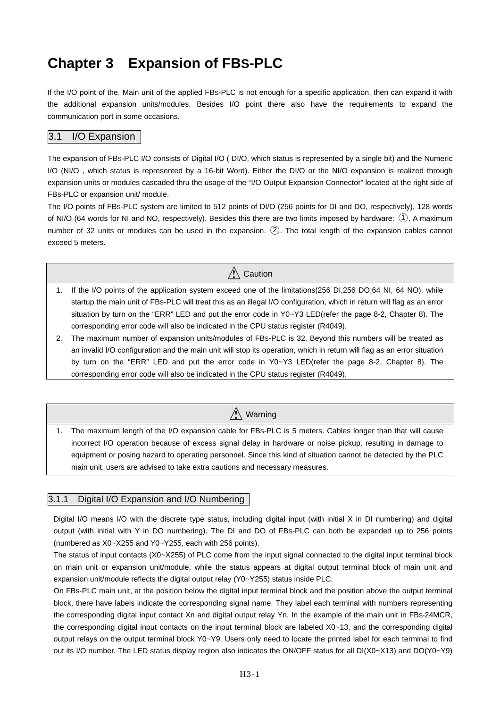# **Chapter 3 Expansion of FBS-PLC**

If the I/O point of the. Main unit of the applied FBS-PLC is not enough for a specific application, then can expand it with the additional expansion units/modules. Besides I/O point there also have the requirements to expand the communication port in some occasions.

#### 3.1 I/O Expansion

The expansion of FBS-PLC I/O consists of Digital I/O ( DI/O, which status is represented by a single bit) and the Numeric I/O (NI/O , which status is represented by a 16-bit Word). Either the DI/O or the NI/O expansion is realized through expansion units or modules cascaded thru the usage of the "I/O Output Expansion Connector" located at the right side of FBS-PLC or expansion unit/ module.

The I/O points of FBS-PLC system are limited to 512 points of DI/O (256 points for DI and DO, respectively), 128 words of NI/O (64 words for NI and NO, respectively). Besides this there are two limits imposed by hardware: (1). A maximum number of 32 units or modules can be used in the expansion.  $(2)$ . The total length of the expansion cables cannot exceed 5 meters.

# $\hat{N}$  Caution

- 1. If the I/O points of the application system exceed one of the limitations(256 DI,256 DO,64 NI, 64 NO), while startup the main unit of FBS-PLC will treat this as an illegal I/O configuration, which in return will flag as an error situation by turn on the "ERR" LED and put the error code in Y0~Y3 LED(refer the page 8-2, Chapter 8). The corresponding error code will also be indicated in the CPU status register (R4049).
- 2. The maximum number of expansion units/modules of FBS-PLC is 32. Beyond this numbers will be treated as an invalid I/O configuration and the main unit will stop its operation, which in return will flag as an error situation by turn on the "ERR" LED and put the error code in Y0~Y3 LED(refer the page 8-2, Chapter 8). The corresponding error code will also be indicated in the CPU status register (R4049).

# $\bigwedge$  Warning

1. The maximum length of the I/O expansion cable for FBS-PLC is 5 meters. Cables longer than that will cause incorrect I/O operation because of excess signal delay in hardware or noise pickup, resulting in damage to equipment or posing hazard to operating personnel. Since this kind of situation cannot be detected by the PLC main unit, users are advised to take extra cautions and necessary measures.

#### 3.1.1 Digital I/O Expansion and I/O Numbering

Digital I/O means I/O with the discrete type status, including digital input (with initial X in DI numbering) and digital output (with initial with Y in DO numbering). The DI and DO of FBS-PLC can both be expanded up to 256 points (numbered as X0~X255 and Y0~Y255, each with 256 points).

The status of input contacts (X0~X255) of PLC come from the input signal connected to the digital input terminal block on main unit or expansion unit/module; while the status appears at digital output terminal block of main unit and expansion unit/module reflects the digital output relay (Y0~Y255) status inside PLC.

On FBs-PLC main unit, at the position below the digital input terminal block and the position above the output terminal block, there have labels indicate the corresponding signal name. They label each terminal with numbers representing the corresponding digital input contact Xn and digital output relay Yn. In the example of the main unit in FBS-24MCR, the corresponding digital input contacts on the input terminal block are labeled X0~13, and the corresponding digital output relays on the output terminal block Y0~Y9. Users only need to locate the printed label for each terminal to find out its I/O number. The LED status display region also indicates the ON/OFF status for all DI(X0~X13) and DO(Y0~Y9)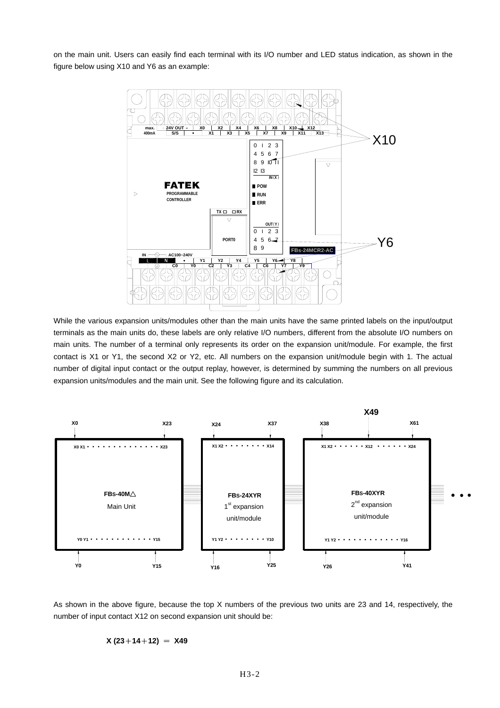on the main unit. Users can easily find each terminal with its I/O number and LED status indication, as shown in the figure below using X10 and Y6 as an example:



While the various expansion units/modules other than the main units have the same printed labels on the input/output terminals as the main units do, these labels are only relative I/O numbers, different from the absolute I/O numbers on main units. The number of a terminal only represents its order on the expansion unit/module. For example, the first contact is X1 or Y1, the second X2 or Y2, etc. All numbers on the expansion unit/module begin with 1. The actual number of digital input contact or the output replay, however, is determined by summing the numbers on all previous expansion units/modules and the main unit. See the following figure and its calculation.



As shown in the above figure, because the top X numbers of the previous two units are 23 and 14, respectively, the number of input contact X12 on second expansion unit should be:

#### $X(23+14+12) = X49$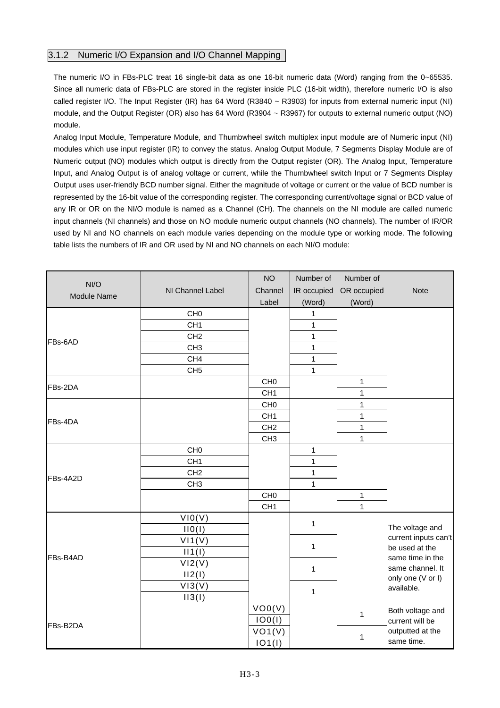### 3.1.2 Numeric I/O Expansion and I/O Channel Mapping

The numeric I/O in FBs-PLC treat 16 single-bit data as one 16-bit numeric data (Word) ranging from the 0~65535. Since all numeric data of FBs-PLC are stored in the register inside PLC (16-bit width), therefore numeric I/O is also called register I/O. The Input Register (IR) has 64 Word (R3840 ~ R3903) for inputs from external numeric input (NI) module, and the Output Register (OR) also has 64 Word (R3904 ~ R3967) for outputs to external numeric output (NO) module.

Analog Input Module, Temperature Module, and Thumbwheel switch multiplex input module are of Numeric input (NI) modules which use input register (IR) to convey the status. Analog Output Module, 7 Segments Display Module are of Numeric output (NO) modules which output is directly from the Output register (OR). The Analog Input, Temperature Input, and Analog Output is of analog voltage or current, while the Thumbwheel switch Input or 7 Segments Display Output uses user-friendly BCD number signal. Either the magnitude of voltage or current or the value of BCD number is represented by the 16-bit value of the corresponding register. The corresponding current/voltage signal or BCD value of any IR or OR on the NI/O module is named as a Channel (CH). The channels on the NI module are called numeric input channels (NI channels) and those on NO module numeric output channels (NO channels). The number of IR/OR used by NI and NO channels on each module varies depending on the module type or working mode. The following table lists the numbers of IR and OR used by NI and NO channels on each NI/O module:

| NI/O               |                  | <b>NO</b>       | Number of    | Number of    |                                        |
|--------------------|------------------|-----------------|--------------|--------------|----------------------------------------|
|                    | NI Channel Label | Channel         | IR occupied  | OR occupied  | <b>Note</b>                            |
| <b>Module Name</b> |                  | Label           | (Word)       | (Word)       |                                        |
|                    | CH <sub>0</sub>  |                 | 1            |              |                                        |
|                    | CH <sub>1</sub>  |                 | 1            |              |                                        |
| FBs-6AD            | CH <sub>2</sub>  |                 | 1            |              |                                        |
|                    | CH <sub>3</sub>  |                 | 1            |              |                                        |
|                    | CH <sub>4</sub>  |                 | 1            |              |                                        |
|                    | CH <sub>5</sub>  |                 | 1            |              |                                        |
| FBs-2DA            |                  | CH <sub>0</sub> |              | $\mathbf{1}$ |                                        |
|                    |                  | CH <sub>1</sub> |              | $\mathbf{1}$ |                                        |
|                    |                  | CH <sub>0</sub> |              | $\mathbf{1}$ |                                        |
| FBs-4DA            |                  | CH <sub>1</sub> |              | $\mathbf{1}$ |                                        |
|                    |                  | CH <sub>2</sub> |              | $\mathbf{1}$ |                                        |
|                    |                  | CH <sub>3</sub> |              | $\mathbf{1}$ |                                        |
|                    | CH <sub>0</sub>  |                 | $\mathbf{1}$ |              |                                        |
|                    | CH <sub>1</sub>  |                 | 1            |              |                                        |
| FBs-4A2D           | CH <sub>2</sub>  |                 | 1            |              |                                        |
|                    | CH <sub>3</sub>  |                 | 1            |              |                                        |
|                    |                  | CH <sub>0</sub> |              | $\mathbf{1}$ |                                        |
|                    |                  | CH <sub>1</sub> |              | 1            |                                        |
|                    | VIO(V)           |                 | 1            |              |                                        |
|                    | IIO(I)           |                 |              |              | The voltage and                        |
|                    | V11(V)           |                 | 1            |              | current inputs can't<br>be used at the |
| FBs-B4AD           | II1(1)           |                 |              |              | same time in the                       |
|                    | VI2(V)           |                 | $\mathbf{1}$ |              | same channel. It                       |
|                    | II2(I)           |                 |              |              | only one (V or I)                      |
|                    | VI3(V)           |                 | $\mathbf{1}$ |              | available.                             |
|                    | II3(I)           |                 |              |              |                                        |
|                    |                  | VO0(V)          |              | $\mathbf{1}$ | Both voltage and                       |
| FBs-B2DA           |                  | IOO(I)          |              |              | current will be                        |
|                    |                  | VO1(V)          |              | 1            | outputted at the                       |
|                    |                  | IO1(I)          |              |              | same time.                             |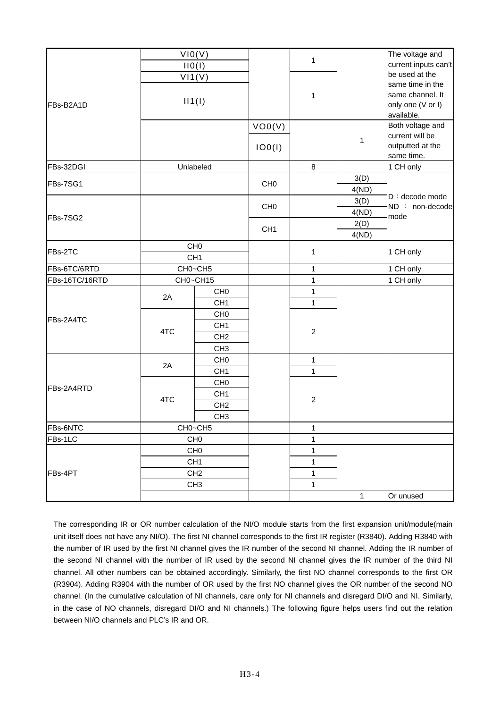|                |                 | VIO(V)          |                 |                |              | The voltage and                     |
|----------------|-----------------|-----------------|-----------------|----------------|--------------|-------------------------------------|
| FBs-B2A1D      | IIO(I)          |                 |                 | $\mathbf{1}$   |              | current inputs can't                |
|                | V11(V)          |                 |                 |                |              | be used at the                      |
|                | II1(1)          |                 |                 |                |              | same time in the                    |
|                |                 |                 |                 | 1              |              | same channel. It                    |
|                |                 |                 |                 |                |              | only one (V or I)                   |
|                |                 |                 |                 |                |              | available.                          |
|                |                 |                 | VOO(V)          |                |              | Both voltage and<br>current will be |
|                |                 |                 |                 |                | $\mathbf{1}$ | outputted at the                    |
|                |                 |                 | IOO(I)          |                |              | same time.                          |
| FBs-32DGI      |                 | Unlabeled       |                 | 8              |              | 1 CH only                           |
|                |                 |                 |                 |                | 3(D)         |                                     |
| FBs-7SG1       |                 |                 | CH <sub>0</sub> |                | 4(ND)        |                                     |
|                |                 |                 |                 |                | 3(D)         | D: decode mode                      |
|                |                 |                 | CH <sub>0</sub> |                | 4(ND)        | ND : non-decode<br>mode             |
| FBs-7SG2       |                 |                 |                 | 2(D)           |              |                                     |
|                |                 |                 | CH <sub>1</sub> |                | 4(ND)        |                                     |
| FBs-2TC        |                 | CH <sub>0</sub> |                 |                |              | 1 CH only                           |
|                |                 | CH <sub>1</sub> |                 | $\mathbf{1}$   |              |                                     |
| FBs-6TC/6RTD   |                 | CH0~CH5         |                 | $\mathbf{1}$   |              | 1 CH only                           |
| FBs-16TC/16RTD |                 | CH0~CH15        |                 | $\mathbf{1}$   |              | 1 CH only                           |
|                | 2A              | CH <sub>0</sub> |                 | $\mathbf{1}$   |              |                                     |
|                |                 | CH <sub>1</sub> |                 | $\mathbf{1}$   |              |                                     |
| FBs-2A4TC      | 4TC             | CH <sub>0</sub> |                 | $\overline{2}$ |              |                                     |
|                |                 | CH <sub>1</sub> |                 |                |              |                                     |
|                |                 | CH <sub>2</sub> |                 |                |              |                                     |
|                |                 | CH <sub>3</sub> |                 |                |              |                                     |
|                | 2A              | CH <sub>0</sub> |                 | $\mathbf{1}$   |              |                                     |
|                |                 | CH <sub>1</sub> |                 | $\mathbf{1}$   |              |                                     |
| FBs-2A4RTD     | 4TC             | CH <sub>0</sub> |                 |                |              |                                     |
|                |                 | CH <sub>1</sub> |                 | $\overline{c}$ |              |                                     |
|                |                 | CH <sub>2</sub> |                 |                |              |                                     |
|                |                 | CH <sub>3</sub> |                 |                |              |                                     |
| FBs-6NTC       | CH0~CH5         |                 |                 | 1              |              |                                     |
| FBs-1LC        |                 | CH <sub>0</sub> |                 | 1              |              |                                     |
| FBs-4PT        | CH <sub>0</sub> |                 |                 | $\mathbf 1$    |              |                                     |
|                | CH <sub>1</sub> |                 |                 | $\mathbf{1}$   |              |                                     |
|                | CH <sub>2</sub> |                 |                 | 1              |              |                                     |
|                |                 | CH <sub>3</sub> |                 | $\mathbf 1$    |              |                                     |
|                |                 |                 |                 |                | $\mathbf{1}$ | Or unused                           |

The corresponding IR or OR number calculation of the NI/O module starts from the first expansion unit/module(main unit itself does not have any NI/O). The first NI channel corresponds to the first IR register (R3840). Adding R3840 with the number of IR used by the first NI channel gives the IR number of the second NI channel. Adding the IR number of the second NI channel with the number of IR used by the second NI channel gives the IR number of the third NI channel. All other numbers can be obtained accordingly. Similarly, the first NO channel corresponds to the first OR (R3904). Adding R3904 with the number of OR used by the first NO channel gives the OR number of the second NO channel. (In the cumulative calculation of NI channels, care only for NI channels and disregard DI/O and NI. Similarly, in the case of NO channels, disregard DI/O and NI channels.) The following figure helps users find out the relation between NI/O channels and PLC's IR and OR.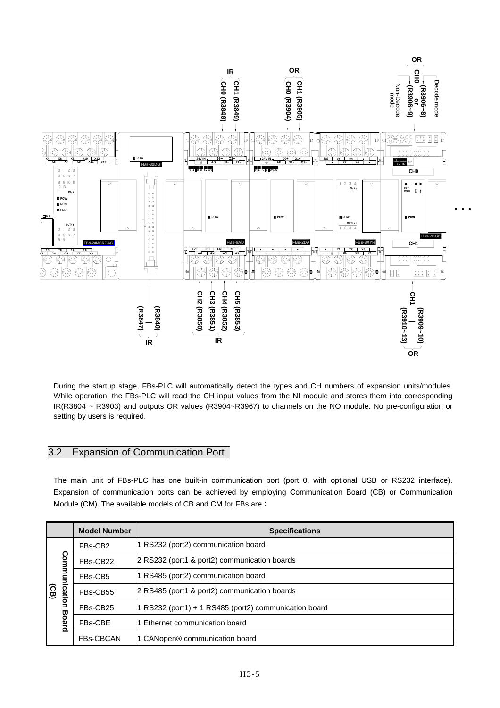

During the startup stage, FBs-PLC will automatically detect the types and CH numbers of expansion units/modules. While operation, the FBs-PLC will read the CH input values from the NI module and stores them into corresponding IR(R3804 ~ R3903) and outputs OR values (R3904~R3967) to channels on the NO module. No pre-configuration or setting by users is required.

# 3.2 Expansion of Communication Port

The main unit of FBs-PLC has one built-in communication port (port 0, with optional USB or RS232 interface). Expansion of communication ports can be achieved by employing Communication Board (CB) or Communication Module (CM). The available models of CB and CM for FBs are:

|                                                  | <b>Model Number</b> | <b>Specifications</b>                                 |  |  |
|--------------------------------------------------|---------------------|-------------------------------------------------------|--|--|
| Com<br>ication<br>$\overline{G}$<br><b>Board</b> | FBs-CB2             | 1 RS232 (port2) communication board                   |  |  |
|                                                  | FBs-CB22            | 2 RS232 (port1 & port2) communication boards          |  |  |
|                                                  | FBs-CB5             | 1 RS485 (port2) communication board                   |  |  |
|                                                  | FBs-CB55            | 2 RS485 (port1 & port2) communication boards          |  |  |
|                                                  | FBs-CB25            | 1 RS232 (port1) + 1 RS485 (port2) communication board |  |  |
|                                                  | FBs-CBE             | 1 Ethernet communication board                        |  |  |
|                                                  | <b>FBs-CBCAN</b>    | 1 CANopen <sup>®</sup> communication board            |  |  |